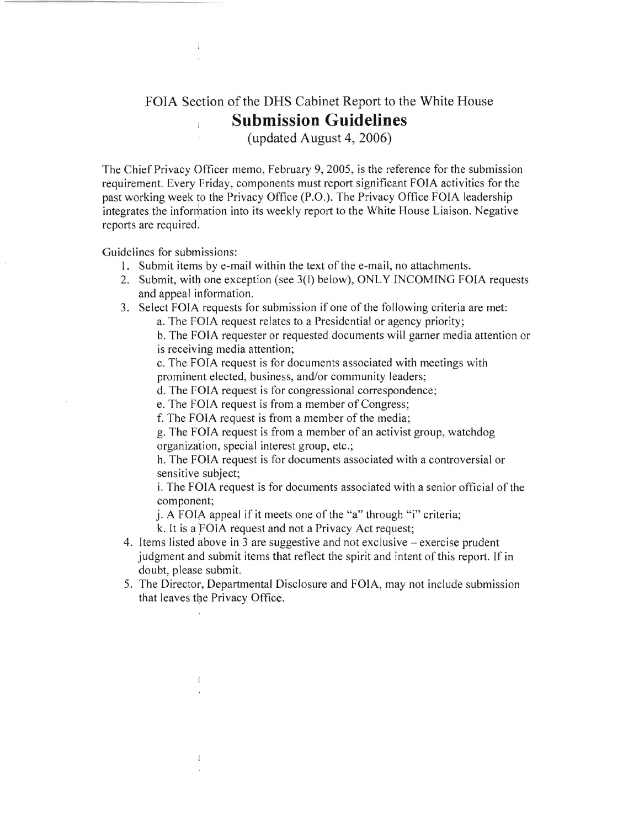## FOIA Section of the DHS Cabinet Report to the White House **Submission Guidelines**

(updated August 4, 2006)

The Chief Privacy Officer memo, February 9, 2005, is the reference for the submission requirement. Every Friday, components must report significant FOIA activities for the past working week to the Privacy Office (P.O.). The Privacy Office FOIA leadership integrates the information into its weekly report to the White House Liaison. Negative reports are required.

Guidelines for submissions:

- 6  $\mathcal{A}$ 

 $\ddot{\ddot{z}}$ 

- 1. Submit items by e-mail within the text of the e-mail, no attachments.
- 2. Submit, with one exception (see 3(1) below), ONLY INCOMING FOIA requests and appeal information.
- 3. Select FOIA requests for submission if one of the following criteria are met:
	- a. The FOIA request relates to a Presidential or agency priority;

b. The FOTA requester or requested documents will garner media attention or is receiving media attention;

c. The FOIA request is for documents associated with meetings with prominent elected, business, and/or community leaders;

d. The FOIA request is for congressional correspondence;

e. The FOIA request is from a member of Congress;

f. The FOTA request is from a member of the media;

g. The FOIA request is from a member of an activist group, watchdog organization, special interest group, etc.;

h. The FOIA request is for documents associated with a controversial or sensitive subject;

i. The FOIA request is for documents associated with a senior official of the component;

j. A FOIA appeal if it meets one of the "a" through "i" criteria;

k. It is a FOIA request and not a Privacy Act request;

- 4. Items listed above in 3 are suggestive and not exclusive exercise prudent judgment and submit items that reflect the spirit and intent of this report. If in doubt, please submit.
- 5. The Director, Departmental Disclosure and FOIA, may not include submission that leaves the Privacy Office.